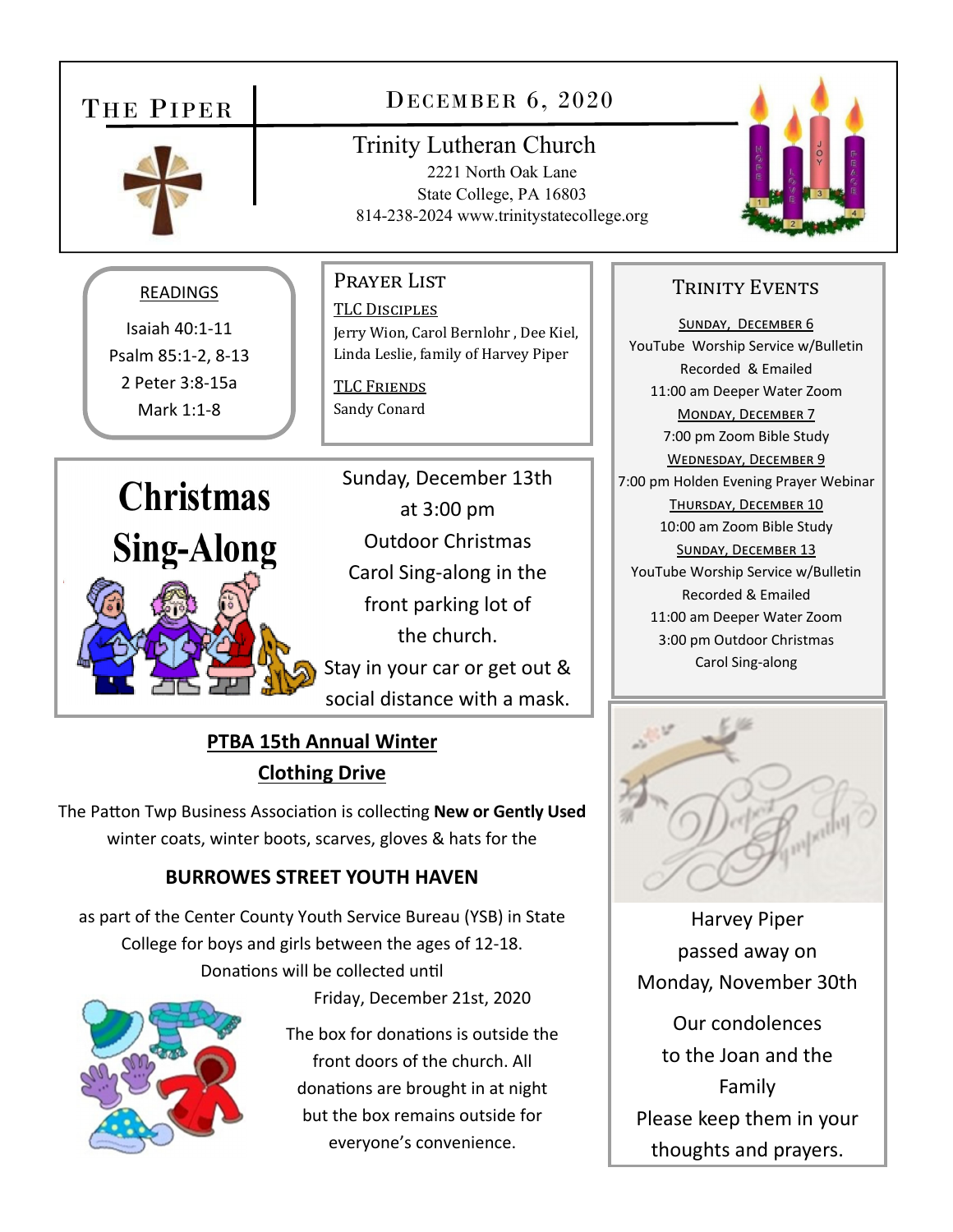### DECEMBER 6, 2020 THE PIPER Trinity Lutheran Church 2221 North Oak Lane State College, PA 16803 814-238-2024 www.trinitystatecollege.org PRAYER LIST TRINITY EVENTS READINGS TLC DISCIPLES SUNDAY, DECEMBER 6 Isaiah 40:1‐11 Jerry Wion, Carol Bernlohr , Dee Kiel, YouTube Worship Service w/Bulletin Psalm 85:1‐2, 8‐13 Linda Leslie, family of Harvey Piper Recorded & Emailed 2 Peter 3:8‐15a **TLC FRIENDS** 11:00 am Deeper Water Zoom Mark 1:1‐8 Sandy Conard MONDAY, DECEMBER 7 7:00 pm Zoom Bible Study WEDNESDAY, DECEMBER 9 Sunday, December 13th 7:00 pm Holden Evening Prayer Webinar **Christmas** THURSDAY, DECEMBER 10 at 3:00 pm 10:00 am Zoom Bible Study Outdoor Christmas **Sing-Along** SUNDAY, DECEMBER 13 Carol Sing‐along in the YouTube Worship Service w/Bulletin Recorded & Emailed front parking lot of 11:00 am Deeper Water Zoom the church. 3:00 pm Outdoor Christmas Carol Sing‐along Stay in your car or get out & social distance with a mask.

## **PTBA 15th Annual Winter Clothing Drive**

The Patton Twp Business Association is collecting New or Gently Used winter coats, winter boots, scarves, gloves & hats for the

## **BURROWES STREET YOUTH HAVEN**

as part of the Center County Youth Service Bureau (YSB) in State College for boys and girls between the ages of 12‐18. Donations will be collected until



Friday, December 21st, 2020

The box for donations is outside the front doors of the church. All donations are brought in at night but the box remains outside for everyone's convenience.

Harvey Piper passed away on Monday, November 30th Our condolences to the Joan and the

Family Please keep them in your thoughts and prayers.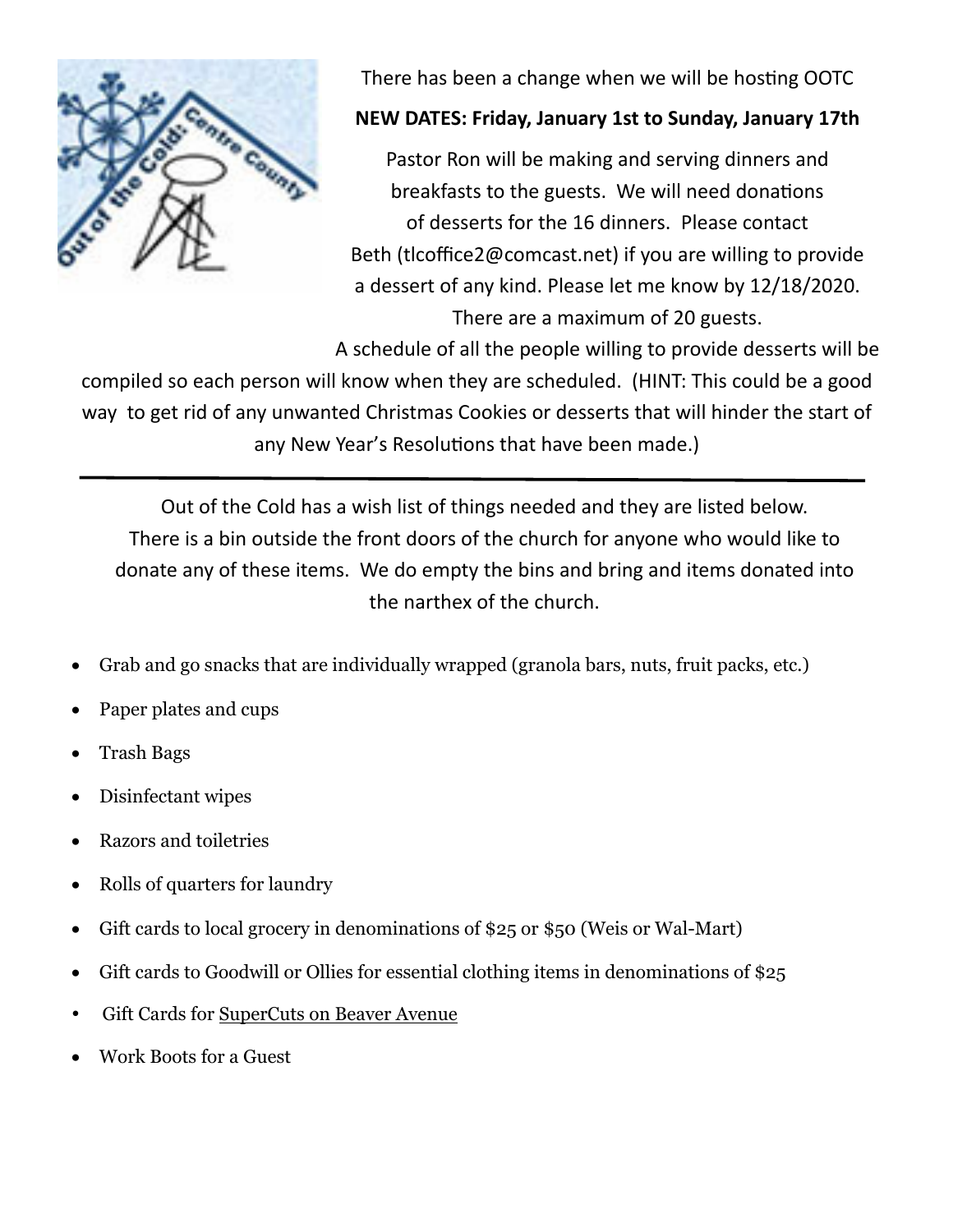

There has been a change when we will be hosting OOTC

## **NEW DATES: Friday, January 1st to Sunday, January 17th**

Pastor Ron will be making and serving dinners and breakfasts to the guests. We will need donations of desserts for the 16 dinners. Please contact Beth (tlcoffice2@comcast.net) if you are willing to provide a dessert of any kind. Please let me know by 12/18/2020. There are a maximum of 20 guests.

A schedule of all the people willing to provide desserts will be

compiled so each person will know when they are scheduled. (HINT: This could be a good way to get rid of any unwanted Christmas Cookies or desserts that will hinder the start of any New Year's Resolutions that have been made.)

Out of the Cold has a wish list of things needed and they are listed below. There is a bin outside the front doors of the church for anyone who would like to donate any of these items. We do empty the bins and bring and items donated into the narthex of the church.

- Grab and go snacks that are individually wrapped (granola bars, nuts, fruit packs, etc.)
- Paper plates and cups
- Trash Bags
- Disinfectant wipes
- Razors and toiletries
- Rolls of quarters for laundry
- Gift cards to local grocery in denominations of \$25 or \$50 (Weis or Wal-Mart)
- Gift cards to Goodwill or Ollies for essential clothing items in denominations of \$25
- Gift Cards for SuperCuts on Beaver Avenue
- Work Boots for a Guest